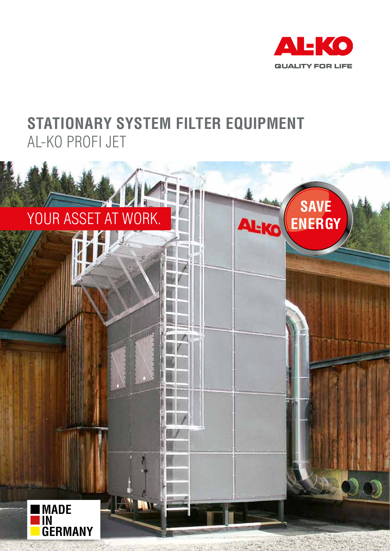

## **STATIONARY SYSTEM FILTER EQUIPMENT** AL-KO PROFI JET

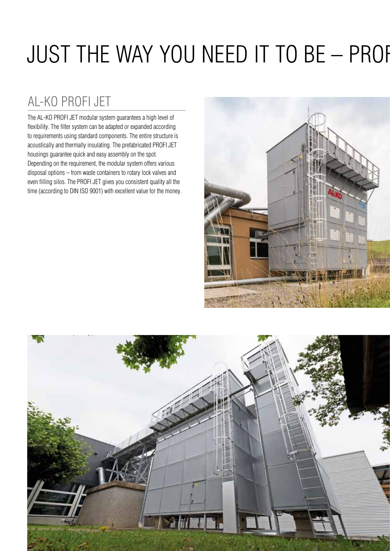## JUST THE WAY YOU NEED IT TO BE - PROF

### AL-KO PROFI JET

The AL-KO PROFI JET modular system guarantees a high level of flexibility. The filter system can be adapted or expanded according to requirements using standard components. The entire structure is acoustically and thermally insulating. The prefabricated PROFI JET housings guarantee quick and easy assembly on the spot. Depending on the requirement, the modular system offers various disposal options – from waste containers to rotary lock valves and even filling silos. The PROFI JET gives you consistent quality all the time (according to DIN ISO 9001) with excellent value for the money.



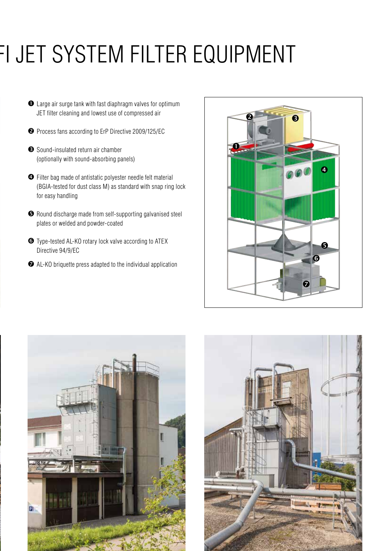## FI JET SYSTEM FILTER EQUIPMENT

- Large air surge tank with fast diaphragm valves for optimum JET filter cleaning and lowest use of compressed air
- **2** Process fans according to ErP Directive 2009/125/EC
- Sound-insulated return air chamber (optionally with sound-absorbing panels)
- Filter bag made of antistatic polyester needle felt material (BGIA-tested for dust class M) as standard with snap ring lock for easy handling
- Round discharge made from self-supporting galvanised steel plates or welded and powder-coated
- Type-tested AL-KO rotary lock valve according to ATEX Directive 94/9/EC
- AL-KO briquette press adapted to the individual application





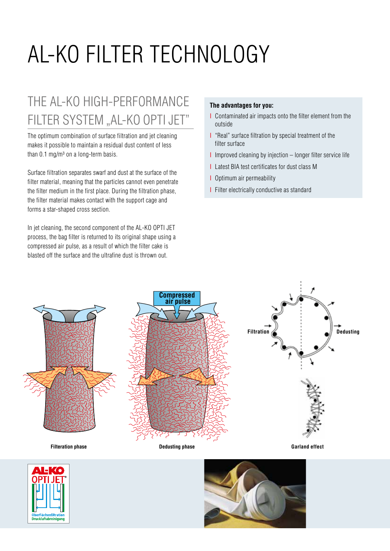# AL-KO FILTER TECHNOLOGY

## THE AL-KO HIGH-PERFORMANCE FILTER SYSTEM "AL-KO OPTI JET"

The optimum combination of surface filtration and jet cleaning makes it possible to maintain a residual dust content of less than  $0.1$  mg/m<sup>3</sup> on a long-term basis.

Surface filtration separates swarf and dust at the surface of the filter material, meaning that the particles cannot even penetrate the filter medium in the first place. During the filtration phase, the filter material makes contact with the support cage and forms a star-shaped cross section.

In jet cleaning, the second component of the AL-KO OPTI JET process, the bag filter is returned to its original shape using a compressed air pulse, as a result of which the filter cake is blasted off the surface and the ultrafine dust is thrown out.

#### **The advantages for you:**

- I Contaminated air impacts onto the filter element from the outside
- I "Real" surface filtration by special treatment of the filter surface
- I Improved cleaning by injection longer filter service life
- I Latest BIA test certificates for dust class M
- I Optimum air permeability
- I Filter electrically conductive as standard





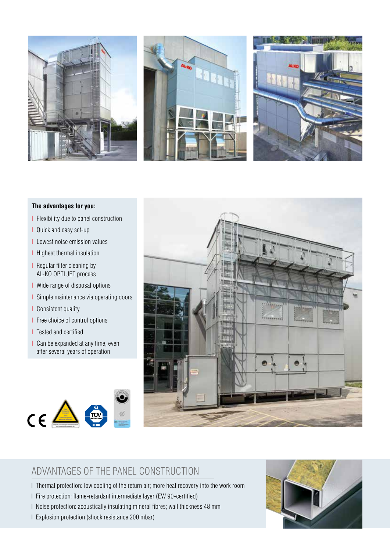





#### **The advantages for you:**

- I Flexibility due to panel construction
- I Quick and easy set-up
- I Lowest noise emission values
- I Highest thermal insulation
- I Regular filter cleaning by AL-KO OPTI JET process
- I Wide range of disposal options
- I Simple maintenance via operating doors
- I Consistent quality
- I Free choice of control options
- **I** Tested and certified
- I Can be expanded at any time, even after several years of operation





### ADVANTAGES OF THE PANEL CONSTRUCTION

- I Thermal protection: low cooling of the return air; more heat recovery into the work room
- I Fire protection: flame-retardant intermediate layer (EW 90-certified)
- I Noise protection: acoustically insulating mineral fibres; wall thickness 48 mm
- I Explosion protection (shock resistance 200 mbar)